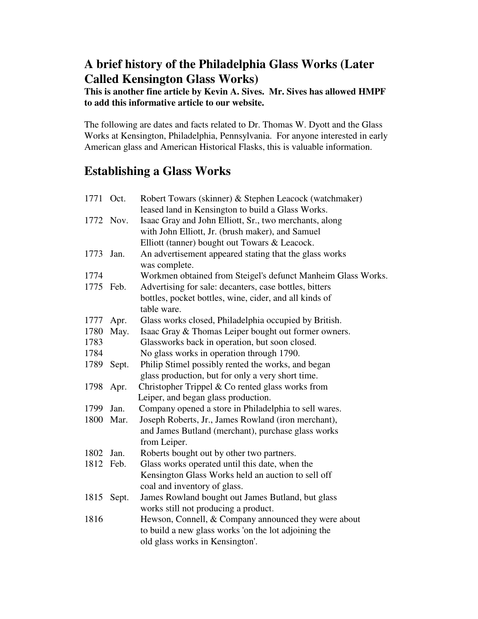# **A brief history of the Philadelphia Glass Works (Later Called Kensington Glass Works)**

## **This is another fine article by Kevin A. Sives. Mr. Sives has allowed HMPF to add this informative article to our website.**

The following are dates and facts related to Dr. Thomas W. Dyott and the Glass Works at Kensington, Philadelphia, Pennsylvania. For anyone interested in early American glass and American Historical Flasks, this is valuable information.

# **Establishing a Glass Works**

| 1771 Oct. |            | Robert Towars (skinner) & Stephen Leacock (watchmaker)                  |
|-----------|------------|-------------------------------------------------------------------------|
|           |            | leased land in Kensington to build a Glass Works.                       |
|           | 1772 Nov.  | Isaac Gray and John Elliott, Sr., two merchants, along                  |
|           |            | with John Elliott, Jr. (brush maker), and Samuel                        |
|           |            | Elliott (tanner) bought out Towars & Leacock.                           |
| 1773      | Jan.       | An advertisement appeared stating that the glass works<br>was complete. |
| 1774      |            | Workmen obtained from Steigel's defunct Manheim Glass Works.            |
| 1775      | Feb.       | Advertising for sale: decanters, case bottles, bitters                  |
|           |            | bottles, pocket bottles, wine, cider, and all kinds of                  |
|           |            | table ware.                                                             |
| 1777      | Apr.       | Glass works closed, Philadelphia occupied by British.                   |
| 1780      | May.       | Isaac Gray & Thomas Leiper bought out former owners.                    |
| 1783      |            | Glassworks back in operation, but soon closed.                          |
| 1784      |            | No glass works in operation through 1790.                               |
| 1789      | Sept.      | Philip Stimel possibly rented the works, and began                      |
|           |            | glass production, but for only a very short time.                       |
| 1798      | Apr.       | Christopher Trippel $&$ Co rented glass works from                      |
|           |            | Leiper, and began glass production.                                     |
| 1799      | Jan.       | Company opened a store in Philadelphia to sell wares.                   |
| 1800      | Mar.       | Joseph Roberts, Jr., James Rowland (iron merchant),                     |
|           |            | and James Butland (merchant), purchase glass works                      |
|           |            | from Leiper.                                                            |
| 1802      | Jan.       | Roberts bought out by other two partners.                               |
| 1812 Feb. |            | Glass works operated until this date, when the                          |
|           |            | Kensington Glass Works held an auction to sell off                      |
|           |            | coal and inventory of glass.                                            |
|           | 1815 Sept. | James Rowland bought out James Butland, but glass                       |
|           |            | works still not producing a product.                                    |
| 1816      |            | Hewson, Connell, & Company announced they were about                    |
|           |            | to build a new glass works 'on the lot adjoining the                    |
|           |            | old glass works in Kensington'.                                         |
|           |            |                                                                         |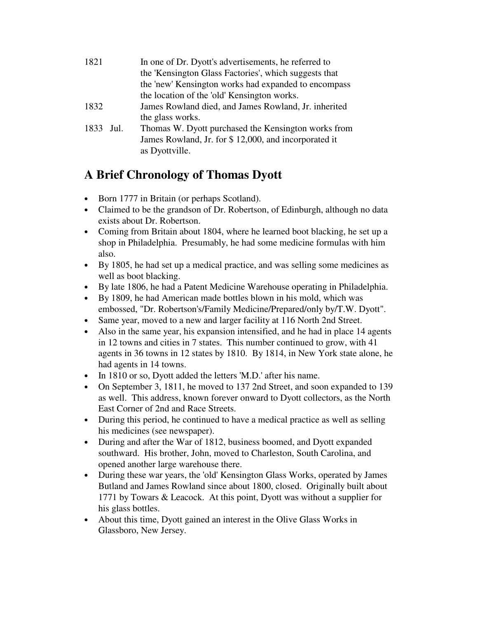| 1821      | In one of Dr. Dyott's advertisements, he referred to<br>the 'Kensington Glass Factories', which suggests that<br>the 'new' Kensington works had expanded to encompass |
|-----------|-----------------------------------------------------------------------------------------------------------------------------------------------------------------------|
|           | the location of the 'old' Kensington works.                                                                                                                           |
| 1832      | James Rowland died, and James Rowland, Jr. inherited<br>the glass works.                                                                                              |
| 1833 Jul. | Thomas W. Dyott purchased the Kensington works from<br>James Rowland, Jr. for \$12,000, and incorporated it<br>as Dyottville.                                         |

# **A Brief Chronology of Thomas Dyott**

- Born 1777 in Britain (or perhaps Scotland).
- Claimed to be the grandson of Dr. Robertson, of Edinburgh, although no data exists about Dr. Robertson.
- Coming from Britain about 1804, where he learned boot blacking, he set up a shop in Philadelphia. Presumably, he had some medicine formulas with him also.
- By 1805, he had set up a medical practice, and was selling some medicines as well as boot blacking.
- By late 1806, he had a Patent Medicine Warehouse operating in Philadelphia.
- By 1809, he had American made bottles blown in his mold, which was embossed, "Dr. Robertson's/Family Medicine/Prepared/only by/T.W. Dyott".
- Same year, moved to a new and larger facility at 116 North 2nd Street.
- Also in the same year, his expansion intensified, and he had in place 14 agents in 12 towns and cities in 7 states. This number continued to grow, with 41 agents in 36 towns in 12 states by 1810. By 1814, in New York state alone, he had agents in 14 towns.
- In 1810 or so, Dyott added the letters 'M.D.' after his name.
- On September 3, 1811, he moved to 137 2nd Street, and soon expanded to 139 as well. This address, known forever onward to Dyott collectors, as the North East Corner of 2nd and Race Streets.
- During this period, he continued to have a medical practice as well as selling his medicines (see newspaper).
- During and after the War of 1812, business boomed, and Dyott expanded southward. His brother, John, moved to Charleston, South Carolina, and opened another large warehouse there.
- During these war years, the 'old' Kensington Glass Works, operated by James Butland and James Rowland since about 1800, closed. Originally built about 1771 by Towars & Leacock. At this point, Dyott was without a supplier for his glass bottles.
- About this time, Dyott gained an interest in the Olive Glass Works in Glassboro, New Jersey.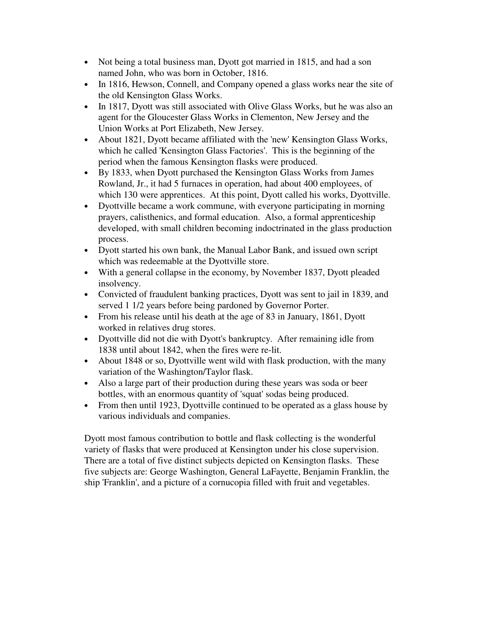- Not being a total business man, Dyott got married in 1815, and had a son named John, who was born in October, 1816.
- In 1816, Hewson, Connell, and Company opened a glass works near the site of the old Kensington Glass Works.
- In 1817, Dyott was still associated with Olive Glass Works, but he was also an agent for the Gloucester Glass Works in Clementon, New Jersey and the Union Works at Port Elizabeth, New Jersey.
- About 1821, Dyott became affiliated with the 'new' Kensington Glass Works, which he called 'Kensington Glass Factories'. This is the beginning of the period when the famous Kensington flasks were produced.
- By 1833, when Dyott purchased the Kensington Glass Works from James Rowland, Jr., it had 5 furnaces in operation, had about 400 employees, of which 130 were apprentices. At this point, Dyott called his works, Dyottville.
- Dyottville became a work commune, with everyone participating in morning prayers, calisthenics, and formal education. Also, a formal apprenticeship developed, with small children becoming indoctrinated in the glass production process.
- Dyott started his own bank, the Manual Labor Bank, and issued own script which was redeemable at the Dyottville store.
- With a general collapse in the economy, by November 1837, Dyott pleaded insolvency.
- Convicted of fraudulent banking practices, Dyott was sent to jail in 1839, and served 1 1/2 years before being pardoned by Governor Porter.
- From his release until his death at the age of 83 in January, 1861, Dyott worked in relatives drug stores.
- Dyottville did not die with Dyott's bankruptcy. After remaining idle from 1838 until about 1842, when the fires were re-lit.
- About 1848 or so, Dyottville went wild with flask production, with the many variation of the Washington/Taylor flask.
- Also a large part of their production during these years was soda or beer bottles, with an enormous quantity of 'squat' sodas being produced.
- From then until 1923, Dyottville continued to be operated as a glass house by various individuals and companies.

Dyott most famous contribution to bottle and flask collecting is the wonderful variety of flasks that were produced at Kensington under his close supervision. There are a total of five distinct subjects depicted on Kensington flasks. These five subjects are: George Washington, General LaFayette, Benjamin Franklin, the ship 'Franklin', and a picture of a cornucopia filled with fruit and vegetables.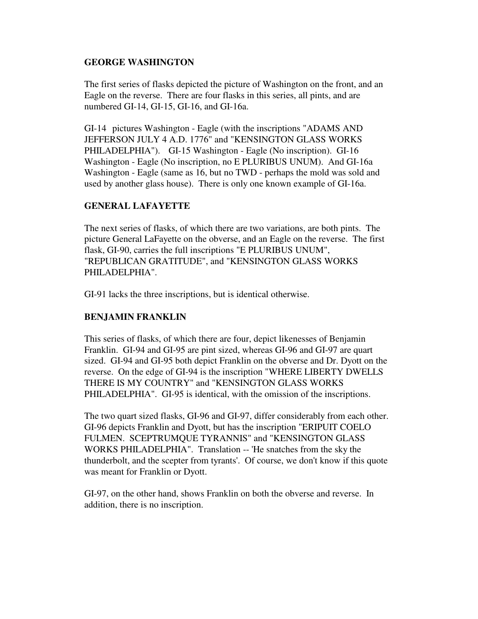#### **GEORGE WASHINGTON**

The first series of flasks depicted the picture of Washington on the front, and an Eagle on the reverse. There are four flasks in this series, all pints, and are numbered GI-14, GI-15, GI-16, and GI-16a.

GI-14 pictures Washington - Eagle (with the inscriptions "ADAMS AND JEFFERSON JULY 4 A.D. 1776" and "KENSINGTON GLASS WORKS PHILADELPHIA"). GI-15 Washington - Eagle (No inscription). GI-16 Washington - Eagle (No inscription, no E PLURIBUS UNUM). And GI-16a Washington - Eagle (same as 16, but no TWD - perhaps the mold was sold and used by another glass house). There is only one known example of GI-16a.

### **GENERAL LAFAYETTE**

The next series of flasks, of which there are two variations, are both pints. The picture General LaFayette on the obverse, and an Eagle on the reverse. The first flask, GI-90, carries the full inscriptions "E PLURIBUS UNUM", "REPUBLICAN GRATITUDE", and "KENSINGTON GLASS WORKS PHILADELPHIA".

GI-91 lacks the three inscriptions, but is identical otherwise.

### **BENJAMIN FRANKLIN**

This series of flasks, of which there are four, depict likenesses of Benjamin Franklin. GI-94 and GI-95 are pint sized, whereas GI-96 and GI-97 are quart sized. GI-94 and GI-95 both depict Franklin on the obverse and Dr. Dyott on the reverse. On the edge of GI-94 is the inscription "WHERE LIBERTY DWELLS THERE IS MY COUNTRY" and "KENSINGTON GLASS WORKS PHILADELPHIA". GI-95 is identical, with the omission of the inscriptions.

The two quart sized flasks, GI-96 and GI-97, differ considerably from each other. GI-96 depicts Franklin and Dyott, but has the inscription "ERIPUIT COELO FULMEN. SCEPTRUMQUE TYRANNIS" and "KENSINGTON GLASS WORKS PHILADELPHIA". Translation -- 'He snatches from the sky the thunderbolt, and the scepter from tyrants'. Of course, we don't know if this quote was meant for Franklin or Dyott.

GI-97, on the other hand, shows Franklin on both the obverse and reverse. In addition, there is no inscription.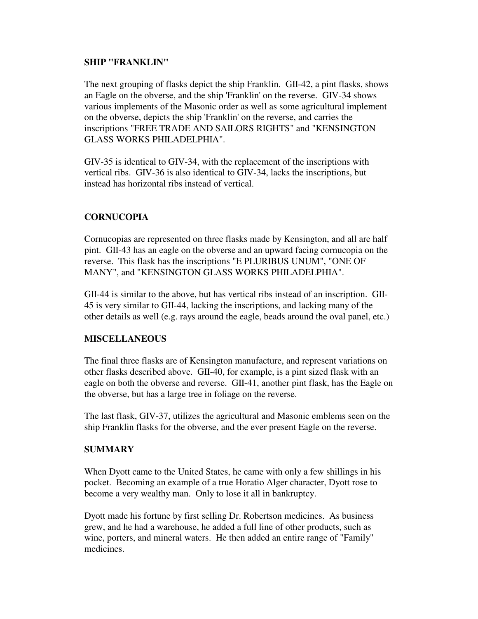#### **SHIP "FRANKLIN"**

The next grouping of flasks depict the ship Franklin. GII-42, a pint flasks, shows an Eagle on the obverse, and the ship 'Franklin' on the reverse. GIV-34 shows various implements of the Masonic order as well as some agricultural implement on the obverse, depicts the ship 'Franklin' on the reverse, and carries the inscriptions "FREE TRADE AND SAILORS RIGHTS" and "KENSINGTON GLASS WORKS PHILADELPHIA".

GIV-35 is identical to GIV-34, with the replacement of the inscriptions with vertical ribs. GIV-36 is also identical to GIV-34, lacks the inscriptions, but instead has horizontal ribs instead of vertical.

### **CORNUCOPIA**

Cornucopias are represented on three flasks made by Kensington, and all are half pint. GII-43 has an eagle on the obverse and an upward facing cornucopia on the reverse. This flask has the inscriptions "E PLURIBUS UNUM", "ONE OF MANY", and "KENSINGTON GLASS WORKS PHILADELPHIA".

GII-44 is similar to the above, but has vertical ribs instead of an inscription. GII-45 is very similar to GII-44, lacking the inscriptions, and lacking many of the other details as well (e.g. rays around the eagle, beads around the oval panel, etc.)

#### **MISCELLANEOUS**

The final three flasks are of Kensington manufacture, and represent variations on other flasks described above. GII-40, for example, is a pint sized flask with an eagle on both the obverse and reverse. GII-41, another pint flask, has the Eagle on the obverse, but has a large tree in foliage on the reverse.

The last flask, GIV-37, utilizes the agricultural and Masonic emblems seen on the ship Franklin flasks for the obverse, and the ever present Eagle on the reverse.

#### **SUMMARY**

When Dyott came to the United States, he came with only a few shillings in his pocket. Becoming an example of a true Horatio Alger character, Dyott rose to become a very wealthy man. Only to lose it all in bankruptcy.

Dyott made his fortune by first selling Dr. Robertson medicines. As business grew, and he had a warehouse, he added a full line of other products, such as wine, porters, and mineral waters. He then added an entire range of "Family" medicines.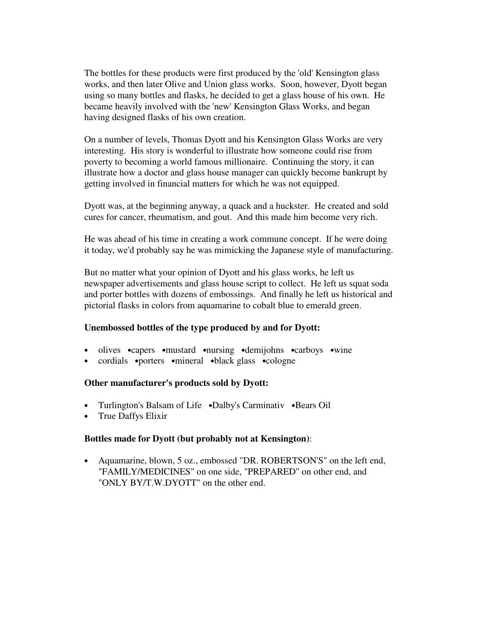The bottles for these products were first produced by the 'old' Kensington glass works, and then later Olive and Union glass works. Soon, however, Dyott began using so many bottles and flasks, he decided to get a glass house of his own. He became heavily involved with the 'new' Kensington Glass Works, and began having designed flasks of his own creation.

On a number of levels, Thomas Dyott and his Kensington Glass Works are very interesting. His story is wonderful to illustrate how someone could rise from poverty to becoming a world famous millionaire. Continuing the story, it can illustrate how a doctor and glass house manager can quickly become bankrupt by getting involved in financial matters for which he was not equipped.

Dyott was, at the beginning anyway, a quack and a huckster. He created and sold cures for cancer, rheumatism, and gout. And this made him become very rich.

He was ahead of his time in creating a work commune concept. If he were doing it today, we'd probably say he was mimicking the Japanese style of manufacturing.

But no matter what your opinion of Dyott and his glass works, he left us newspaper advertisements and glass house script to collect. He left us squat soda and porter bottles with dozens of embossings. And finally he left us historical and pictorial flasks in colors from aquamarine to cobalt blue to emerald green.

#### **Unembossed bottles of the type produced by and for Dyott:**

- olives •capers •mustard •nursing •demijohns •carboys •wine
- cordials •porters •mineral •black glass •cologne

#### **Other manufacturer's products sold by Dyott:**

- Turlington's Balsam of Life •Dalby's Carminativ •Bears Oil
- True Daffys Elixir

#### **Bottles made for Dyott (but probably not at Kensington)**:

• Aquamarine, blown, 5 oz., embossed "DR. ROBERTSON'S" on the left end, "FAMILY/MEDICINES" on one side, "PREPARED" on other end, and "ONLY BY/T.W.DYOTT" on the other end.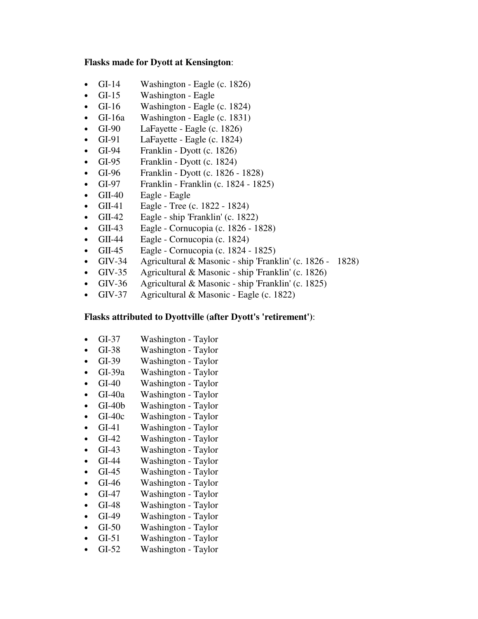#### **Flasks made for Dyott at Kensington**:

- GI-14 Washington Eagle  $(c. 1826)$
- GI-15 Washington Eagle
- GI-16 Washington Eagle (c. 1824)
- GI-16a Washington Eagle (c. 1831)
- GI-90 LaFayette Eagle (c. 1826)
- GI-91 LaFayette Eagle (c. 1824)
- GI-94 Franklin Dyott  $(c. 1826)$
- GI-95 Franklin Dyott (c. 1824)
- GI-96 Franklin Dyott (c.  $1826 1828$ )
- GI-97 Franklin Franklin (c. 1824 1825)
- GII-40 Eagle Eagle
- GII-41 Eagle Tree (c. 1822 1824)
- GII-42 Eagle ship 'Franklin' (c. 1822)
- GII-43 Eagle Cornucopia (c. 1826 1828)
- GII-44 Eagle Cornucopia (c. 1824)
- GII-45 Eagle Cornucopia (c. 1824 1825)
- GIV-34 Agricultural & Masonic ship 'Franklin' (c. 1826 1828)
- GIV-35 Agricultural & Masonic ship 'Franklin' (c. 1826)
- GIV-36 Agricultural & Masonic ship 'Franklin' (c. 1825)
- GIV-37 Agricultural & Masonic Eagle (c. 1822)

#### **Flasks attributed to Dyottville (after Dyott's 'retirement')**:

- GI-37 Washington Taylor
- GI-38 Washington Taylor
- GI-39 Washington Taylor
- GI-39a Washington Taylor
- GI-40 Washington Taylor
- GI-40a Washington Taylor
- GI-40b Washington Taylor
- GI-40c Washington Taylor
- GI-41 Washington Taylor
- GI-42 Washington Taylor
- GI-43 Washington Taylor
- GI-44 Washington Taylor
- GI-45 Washington Taylor
- GI-46 Washington Taylor
- GI-47 Washington Taylor
- GI-48 Washington Taylor
- GI-49 Washington Taylor
- GI-50 Washington Taylor
- GI-51 Washington Taylor
- GI-52 Washington Taylor